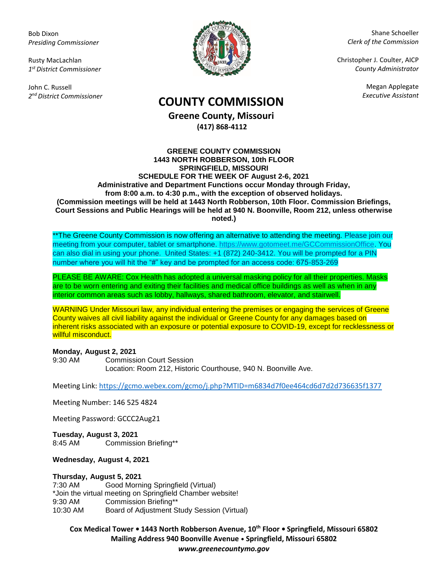Bob Dixon *Presiding Commissioner*

Rusty MacLachlan *1 st District Commissioner*

John C. Russell *2 nd District Commissioner*



Shane Schoeller *Clerk of the Commission*

Christopher J. Coulter, AICP *County Administrator*

Megan Applegate

# *Executive Assistant* **COUNTY COMMISSION**

**Greene County, Missouri (417) 868-4112**

#### **GREENE COUNTY COMMISSION 1443 NORTH ROBBERSON, 10th FLOOR SPRINGFIELD, MISSOURI SCHEDULE FOR THE WEEK OF August 2-6, 2021 Administrative and Department Functions occur Monday through Friday, from 8:00 a.m. to 4:30 p.m., with the exception of observed holidays. (Commission meetings will be held at 1443 North Robberson, 10th Floor. Commission Briefings, Court Sessions and Public Hearings will be held at 940 N. Boonville, Room 212, unless otherwise noted.)**

\*\*The Greene County Commission is now offering an alternative to attending the meeting. Please join our meeting from your computer, tablet or smartphone. [https://www.gotomeet.me/GCCommissionOffice.](https://www.gotomeet.me/GCCommissionOffice) You can also dial in using your phone. United States: +1 (872) 240-3412. You will be prompted for a PIN number where you will hit the "#" key and be prompted for an access code: 675-853-269

PLEASE BE AWARE: Cox Health has adopted a universal masking policy for all their properties. Masks are to be worn entering and exiting their facilities and medical office buildings as well as when in any interior common areas such as lobby, hallways, shared bathroom, elevator, and stairwell.

WARNING Under Missouri law, any individual entering the premises or engaging the services of Greene County waives all civil liability against the individual or Greene County for any damages based on inherent risks associated with an exposure or potential exposure to COVID-19, except for recklessness or willful misconduct.

## **Monday, August 2, 2021**

9:30 AM Commission Court Session Location: Room 212, Historic Courthouse, 940 N. Boonville Ave.

Meeting Link:<https://gcmo.webex.com/gcmo/j.php?MTID=m6834d7f0ee464cd6d7d2d736635f1377>

Meeting Number: 146 525 4824

Meeting Password: GCCC2Aug21

**Tuesday, August 3, 2021** 8:45 AM Commission Briefing\*\*

**Wednesday, August 4, 2021**

## **Thursday, August 5, 2021**

7:30 AM Good Morning Springfield (Virtual) \*Join the virtual meeting on Springfield Chamber website! 9:30 AM Commission Briefing\*\* 10:30 AM Board of Adjustment Study Session (Virtual)

**Cox Medical Tower • 1443 North Robberson Avenue, 10th Floor • Springfield, Missouri 65802 Mailing Address 940 Boonville Avenue • Springfield, Missouri 65802** *www.greenecountymo.gov*